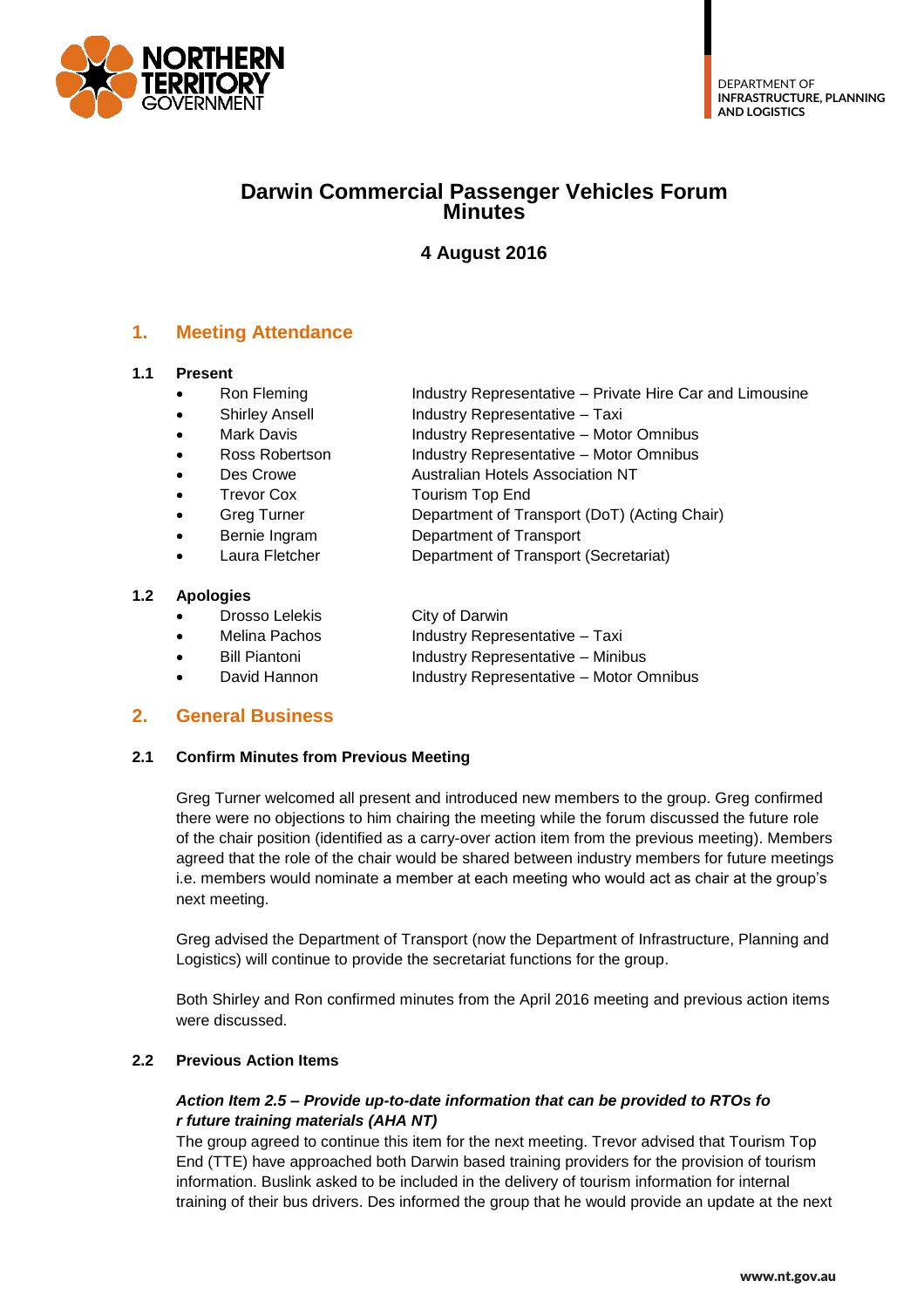

# **Darwin Commercial Passenger Vehicles Forum Minutes**

# **4 August 2016**

## **1. Meeting Attendance**

#### **1.1 Present**

- Ron Fleming The Industry Representative Private Hire Car and Limousine
	- Shirley Ansell **Industry Representative Taxi**
- Mark Davis **Industry Representative Motor Omnibus**
- Ross Robertson Industry Representative Motor Omnibus
	- Des Crowe **Australian Hotels Association NT**
- Trevor Cox Tourism Top End
- Greg Turner **Department of Transport (DoT) (Acting Chair)** 
	- Bernie Ingram Department of Transport
	- Laura Fletcher Department of Transport (Secretariat)

#### **1.2 Apologies**

- Drosso Lelekis City of Darwin
- Melina Pachos **Industry Representative Taxi**
- Bill Piantoni Industry Representative Minibus
- David Hannon Industry Representative Motor Omnibus

## **2. General Business**

#### **2.1 Confirm Minutes from Previous Meeting**

Greg Turner welcomed all present and introduced new members to the group. Greg confirmed there were no objections to him chairing the meeting while the forum discussed the future role of the chair position (identified as a carry-over action item from the previous meeting). Members agreed that the role of the chair would be shared between industry members for future meetings i.e. members would nominate a member at each meeting who would act as chair at the group's next meeting.

Greg advised the Department of Transport (now the Department of Infrastructure, Planning and Logistics) will continue to provide the secretariat functions for the group.

Both Shirley and Ron confirmed minutes from the April 2016 meeting and previous action items were discussed.

#### **2.2 Previous Action Items**

#### *Action Item 2.5 – Provide up-to-date information that can be provided to RTOs fo r future training materials (AHA NT)*

The group agreed to continue this item for the next meeting. Trevor advised that Tourism Top End (TTE) have approached both Darwin based training providers for the provision of tourism information. Buslink asked to be included in the delivery of tourism information for internal training of their bus drivers. Des informed the group that he would provide an update at the next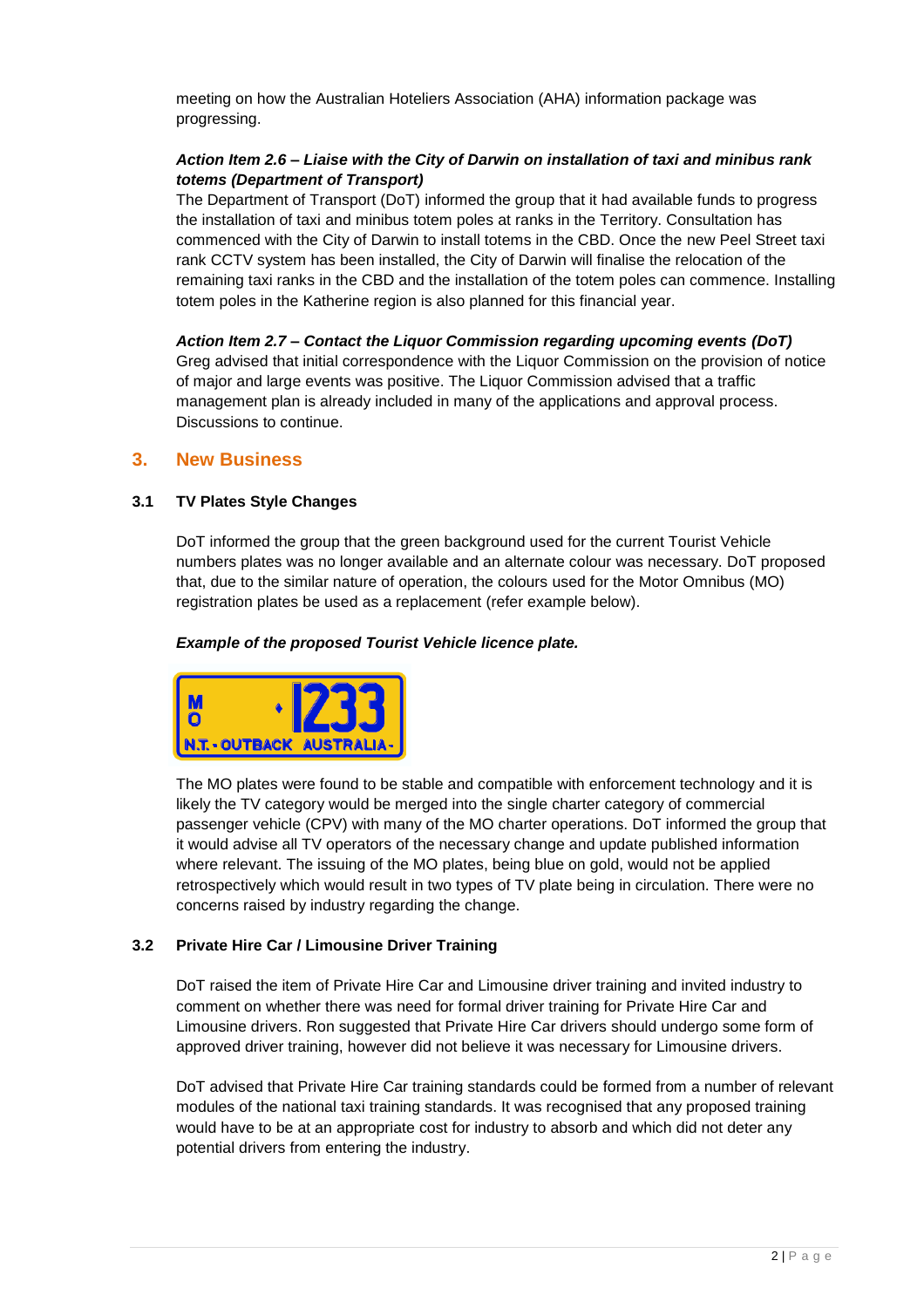meeting on how the Australian Hoteliers Association (AHA) information package was progressing.

#### *Action Item 2.6 – Liaise with the City of Darwin on installation of taxi and minibus rank totems (Department of Transport)*

The Department of Transport (DoT) informed the group that it had available funds to progress the installation of taxi and minibus totem poles at ranks in the Territory. Consultation has commenced with the City of Darwin to install totems in the CBD. Once the new Peel Street taxi rank CCTV system has been installed, the City of Darwin will finalise the relocation of the remaining taxi ranks in the CBD and the installation of the totem poles can commence. Installing totem poles in the Katherine region is also planned for this financial year.

*Action Item 2.7 – Contact the Liquor Commission regarding upcoming events (DoT)* Greg advised that initial correspondence with the Liquor Commission on the provision of notice of major and large events was positive. The Liquor Commission advised that a traffic management plan is already included in many of the applications and approval process. Discussions to continue.

#### **3. New Business**

#### **3.1 TV Plates Style Changes**

DoT informed the group that the green background used for the current Tourist Vehicle numbers plates was no longer available and an alternate colour was necessary. DoT proposed that, due to the similar nature of operation, the colours used for the Motor Omnibus (MO) registration plates be used as a replacement (refer example below).

#### *Example of the proposed Tourist Vehicle licence plate.*



The MO plates were found to be stable and compatible with enforcement technology and it is likely the TV category would be merged into the single charter category of commercial passenger vehicle (CPV) with many of the MO charter operations. DoT informed the group that it would advise all TV operators of the necessary change and update published information where relevant. The issuing of the MO plates, being blue on gold, would not be applied retrospectively which would result in two types of TV plate being in circulation. There were no concerns raised by industry regarding the change.

#### **3.2 Private Hire Car / Limousine Driver Training**

DoT raised the item of Private Hire Car and Limousine driver training and invited industry to comment on whether there was need for formal driver training for Private Hire Car and Limousine drivers. Ron suggested that Private Hire Car drivers should undergo some form of approved driver training, however did not believe it was necessary for Limousine drivers.

DoT advised that Private Hire Car training standards could be formed from a number of relevant modules of the national taxi training standards. It was recognised that any proposed training would have to be at an appropriate cost for industry to absorb and which did not deter any potential drivers from entering the industry.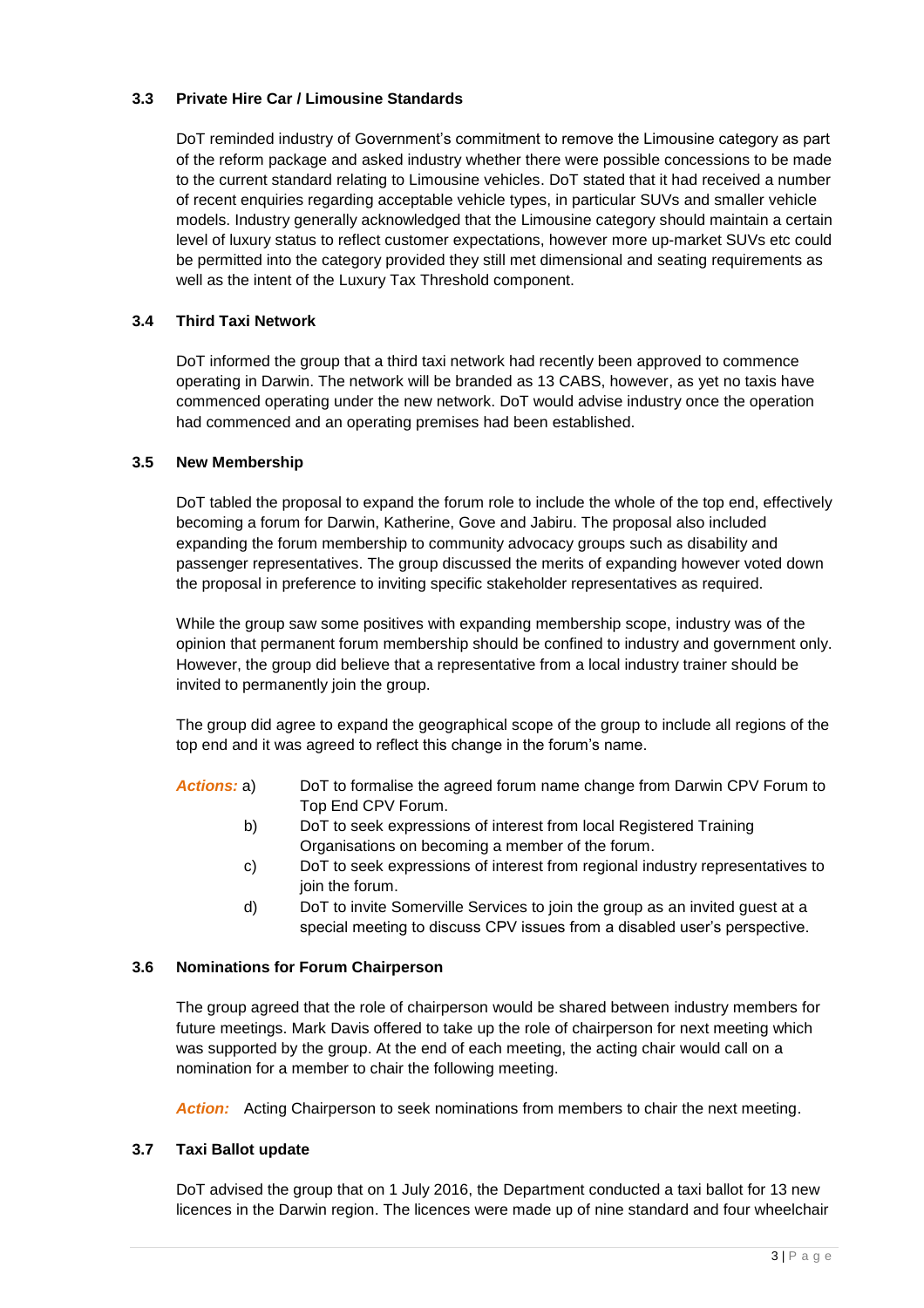#### **3.3 Private Hire Car / Limousine Standards**

DoT reminded industry of Government's commitment to remove the Limousine category as part of the reform package and asked industry whether there were possible concessions to be made to the current standard relating to Limousine vehicles. DoT stated that it had received a number of recent enquiries regarding acceptable vehicle types, in particular SUVs and smaller vehicle models. Industry generally acknowledged that the Limousine category should maintain a certain level of luxury status to reflect customer expectations, however more up-market SUVs etc could be permitted into the category provided they still met dimensional and seating requirements as well as the intent of the Luxury Tax Threshold component.

#### **3.4 Third Taxi Network**

DoT informed the group that a third taxi network had recently been approved to commence operating in Darwin. The network will be branded as 13 CABS, however, as yet no taxis have commenced operating under the new network. DoT would advise industry once the operation had commenced and an operating premises had been established.

#### **3.5 New Membership**

DoT tabled the proposal to expand the forum role to include the whole of the top end, effectively becoming a forum for Darwin, Katherine, Gove and Jabiru. The proposal also included expanding the forum membership to community advocacy groups such as disability and passenger representatives. The group discussed the merits of expanding however voted down the proposal in preference to inviting specific stakeholder representatives as required.

While the group saw some positives with expanding membership scope, industry was of the opinion that permanent forum membership should be confined to industry and government only. However, the group did believe that a representative from a local industry trainer should be invited to permanently join the group.

The group did agree to expand the geographical scope of the group to include all regions of the top end and it was agreed to reflect this change in the forum's name.

- *Actions:* a) DoT to formalise the agreed forum name change from Darwin CPV Forum to Top End CPV Forum.
	- b) DoT to seek expressions of interest from local Registered Training Organisations on becoming a member of the forum.
	- c) DoT to seek expressions of interest from regional industry representatives to join the forum.
	- d) DoT to invite Somerville Services to join the group as an invited guest at a special meeting to discuss CPV issues from a disabled user's perspective.

#### **3.6 Nominations for Forum Chairperson**

The group agreed that the role of chairperson would be shared between industry members for future meetings. Mark Davis offered to take up the role of chairperson for next meeting which was supported by the group. At the end of each meeting, the acting chair would call on a nomination for a member to chair the following meeting.

*Action:* Acting Chairperson to seek nominations from members to chair the next meeting.

#### **3.7 Taxi Ballot update**

DoT advised the group that on 1 July 2016, the Department conducted a taxi ballot for 13 new licences in the Darwin region. The licences were made up of nine standard and four wheelchair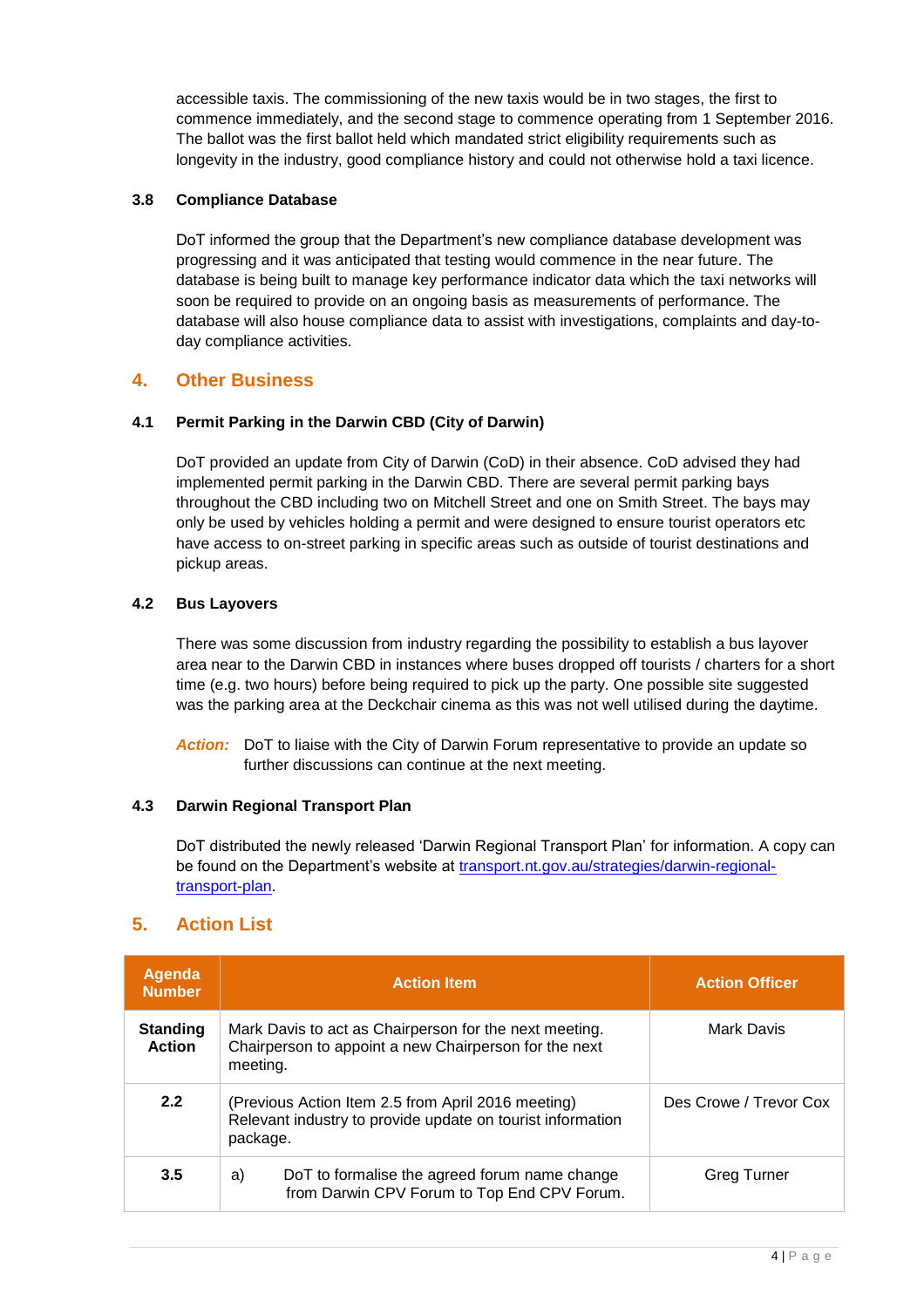accessible taxis. The commissioning of the new taxis would be in two stages, the first to commence immediately, and the second stage to commence operating from 1 September 2016. The ballot was the first ballot held which mandated strict eligibility requirements such as longevity in the industry, good compliance history and could not otherwise hold a taxi licence.

#### **3.8 Compliance Database**

DoT informed the group that the Department's new compliance database development was progressing and it was anticipated that testing would commence in the near future. The database is being built to manage key performance indicator data which the taxi networks will soon be required to provide on an ongoing basis as measurements of performance. The database will also house compliance data to assist with investigations, complaints and day-today compliance activities.

### **4. Other Business**

#### **4.1 Permit Parking in the Darwin CBD (City of Darwin)**

DoT provided an update from City of Darwin (CoD) in their absence. CoD advised they had implemented permit parking in the Darwin CBD. There are several permit parking bays throughout the CBD including two on Mitchell Street and one on Smith Street. The bays may only be used by vehicles holding a permit and were designed to ensure tourist operators etc have access to on-street parking in specific areas such as outside of tourist destinations and pickup areas.

#### **4.2 Bus Layovers**

There was some discussion from industry regarding the possibility to establish a bus layover area near to the Darwin CBD in instances where buses dropped off tourists / charters for a short time (e.g. two hours) before being required to pick up the party. One possible site suggested was the parking area at the Deckchair cinema as this was not well utilised during the daytime.

*Action:* DoT to liaise with the City of Darwin Forum representative to provide an update so further discussions can continue at the next meeting.

#### **4.3 Darwin Regional Transport Plan**

DoT distributed the newly released 'Darwin Regional Transport Plan' for information. A copy can be found on the Department's website at [transport.nt.gov.au/strategies/darwin-regional](https://transport.nt.gov.au/strategies/darwin-regional-transport-plan)[transport-plan.](https://transport.nt.gov.au/strategies/darwin-regional-transport-plan)

## **5. Action List**

| <b>Agenda</b><br><b>Number</b>   | <b>Action Item</b>                                                                                                           | <b>Action Officer</b>  |
|----------------------------------|------------------------------------------------------------------------------------------------------------------------------|------------------------|
| <b>Standing</b><br><b>Action</b> | Mark Davis to act as Chairperson for the next meeting.<br>Chairperson to appoint a new Chairperson for the next<br>meeting.  | Mark Davis             |
| 2.2                              | (Previous Action Item 2.5 from April 2016 meeting)<br>Relevant industry to provide update on tourist information<br>package. | Des Crowe / Trevor Cox |
| 3.5                              | DoT to formalise the agreed forum name change<br>a)<br>from Darwin CPV Forum to Top End CPV Forum.                           | Greg Turner            |